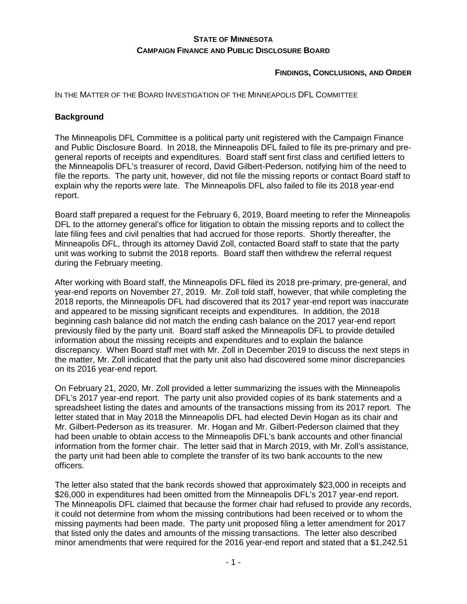# **STATE OF MINNESOTA CAMPAIGN FINANCE AND PUBLIC DISCLOSURE BOARD**

**FINDINGS, CONCLUSIONS, AND ORDER**

IN THE MATTER OF THE BOARD INVESTIGATION OF THE MINNEAPOLIS DFL COMMITTEE

#### **Background**

The Minneapolis DFL Committee is a political party unit registered with the Campaign Finance and Public Disclosure Board. In 2018, the Minneapolis DFL failed to file its pre-primary and pregeneral reports of receipts and expenditures. Board staff sent first class and certified letters to the Minneapolis DFL's treasurer of record, David Gilbert-Pederson, notifying him of the need to file the reports. The party unit, however, did not file the missing reports or contact Board staff to explain why the reports were late. The Minneapolis DFL also failed to file its 2018 year-end report.

Board staff prepared a request for the February 6, 2019, Board meeting to refer the Minneapolis DFL to the attorney general's office for litigation to obtain the missing reports and to collect the late filing fees and civil penalties that had accrued for those reports. Shortly thereafter, the Minneapolis DFL, through its attorney David Zoll, contacted Board staff to state that the party unit was working to submit the 2018 reports. Board staff then withdrew the referral request during the February meeting.

After working with Board staff, the Minneapolis DFL filed its 2018 pre-primary, pre-general, and year-end reports on November 27, 2019. Mr. Zoll told staff, however, that while completing the 2018 reports, the Minneapolis DFL had discovered that its 2017 year-end report was inaccurate and appeared to be missing significant receipts and expenditures. In addition, the 2018 beginning cash balance did not match the ending cash balance on the 2017 year-end report previously filed by the party unit. Board staff asked the Minneapolis DFL to provide detailed information about the missing receipts and expenditures and to explain the balance discrepancy. When Board staff met with Mr. Zoll in December 2019 to discuss the next steps in the matter, Mr. Zoll indicated that the party unit also had discovered some minor discrepancies on its 2016 year-end report.

On February 21, 2020, Mr. Zoll provided a letter summarizing the issues with the Minneapolis DFL's 2017 year-end report. The party unit also provided copies of its bank statements and a spreadsheet listing the dates and amounts of the transactions missing from its 2017 report. The letter stated that in May 2018 the Minneapolis DFL had elected Devin Hogan as its chair and Mr. Gilbert-Pederson as its treasurer. Mr. Hogan and Mr. Gilbert-Pederson claimed that they had been unable to obtain access to the Minneapolis DFL's bank accounts and other financial information from the former chair. The letter said that in March 2019, with Mr. Zoll's assistance, the party unit had been able to complete the transfer of its two bank accounts to the new officers.

The letter also stated that the bank records showed that approximately \$23,000 in receipts and \$26,000 in expenditures had been omitted from the Minneapolis DFL's 2017 year-end report. The Minneapolis DFL claimed that because the former chair had refused to provide any records, it could not determine from whom the missing contributions had been received or to whom the missing payments had been made. The party unit proposed filing a letter amendment for 2017 that listed only the dates and amounts of the missing transactions. The letter also described minor amendments that were required for the 2016 year-end report and stated that a \$1,242.51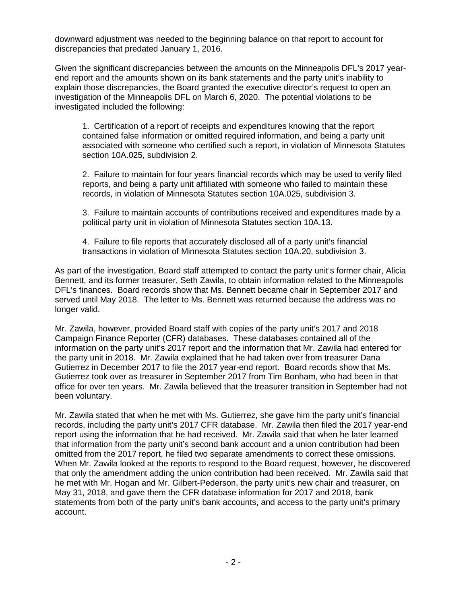downward adjustment was needed to the beginning balance on that report to account for discrepancies that predated January 1, 2016.

Given the significant discrepancies between the amounts on the Minneapolis DFL's 2017 yearend report and the amounts shown on its bank statements and the party unit's inability to explain those discrepancies, the Board granted the executive director's request to open an investigation of the Minneapolis DFL on March 6, 2020. The potential violations to be investigated included the following:

1. Certification of a report of receipts and expenditures knowing that the report contained false information or omitted required information, and being a party unit associated with someone who certified such a report, in violation of Minnesota Statutes section 10A.025, subdivision 2.

2. Failure to maintain for four years financial records which may be used to verify filed reports, and being a party unit affiliated with someone who failed to maintain these records, in violation of Minnesota Statutes section 10A.025, subdivision 3.

3. Failure to maintain accounts of contributions received and expenditures made by a political party unit in violation of Minnesota Statutes section 10A.13.

4. Failure to file reports that accurately disclosed all of a party unit's financial transactions in violation of Minnesota Statutes section 10A.20, subdivision 3.

As part of the investigation, Board staff attempted to contact the party unit's former chair, Alicia Bennett, and its former treasurer, Seth Zawila, to obtain information related to the Minneapolis DFL's finances. Board records show that Ms. Bennett became chair in September 2017 and served until May 2018. The letter to Ms. Bennett was returned because the address was no longer valid.

Mr. Zawila, however, provided Board staff with copies of the party unit's 2017 and 2018 Campaign Finance Reporter (CFR) databases. These databases contained all of the information on the party unit's 2017 report and the information that Mr. Zawila had entered for the party unit in 2018. Mr. Zawila explained that he had taken over from treasurer Dana Gutierrez in December 2017 to file the 2017 year-end report. Board records show that Ms. Gutierrez took over as treasurer in September 2017 from Tim Bonham, who had been in that office for over ten years. Mr. Zawila believed that the treasurer transition in September had not been voluntary.

Mr. Zawila stated that when he met with Ms. Gutierrez, she gave him the party unit's financial records, including the party unit's 2017 CFR database. Mr. Zawila then filed the 2017 year-end report using the information that he had received. Mr. Zawila said that when he later learned that information from the party unit's second bank account and a union contribution had been omitted from the 2017 report, he filed two separate amendments to correct these omissions. When Mr. Zawila looked at the reports to respond to the Board request, however, he discovered that only the amendment adding the union contribution had been received. Mr. Zawila said that he met with Mr. Hogan and Mr. Gilbert-Pederson, the party unit's new chair and treasurer, on May 31, 2018, and gave them the CFR database information for 2017 and 2018, bank statements from both of the party unit's bank accounts, and access to the party unit's primary account.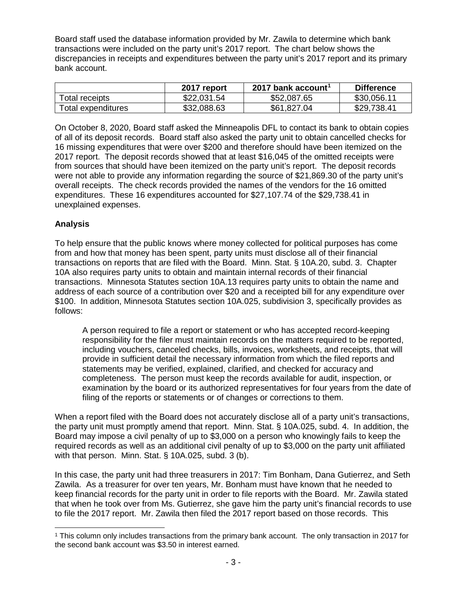Board staff used the database information provided by Mr. Zawila to determine which bank transactions were included on the party unit's 2017 report. The chart below shows the discrepancies in receipts and expenditures between the party unit's 2017 report and its primary bank account.

|                    | 2017 report | 2017 bank account <sup>1</sup> | <b>Difference</b> |
|--------------------|-------------|--------------------------------|-------------------|
| Total receipts     | \$22,031.54 | \$52,087.65                    | \$30,056.11       |
| Total expenditures | \$32,088.63 | \$61,827.04                    | \$29,738.41       |

On October 8, 2020, Board staff asked the Minneapolis DFL to contact its bank to obtain copies of all of its deposit records. Board staff also asked the party unit to obtain cancelled checks for 16 missing expenditures that were over \$200 and therefore should have been itemized on the 2017 report. The deposit records showed that at least \$16,045 of the omitted receipts were from sources that should have been itemized on the party unit's report. The deposit records were not able to provide any information regarding the source of \$21,869.30 of the party unit's overall receipts. The check records provided the names of the vendors for the 16 omitted expenditures. These 16 expenditures accounted for \$27,107.74 of the \$29,738.41 in unexplained expenses.

# **Analysis**

To help ensure that the public knows where money collected for political purposes has come from and how that money has been spent, party units must disclose all of their financial transactions on reports that are filed with the Board. Minn. Stat. § 10A.20, subd. 3. Chapter 10A also requires party units to obtain and maintain internal records of their financial transactions. Minnesota Statutes section 10A.13 requires party units to obtain the name and address of each source of a contribution over \$20 and a receipted bill for any expenditure over \$100. In addition, Minnesota Statutes section 10A.025, subdivision 3, specifically provides as follows:

A person required to file a report or statement or who has accepted record-keeping responsibility for the filer must maintain records on the matters required to be reported, including vouchers, canceled checks, bills, invoices, worksheets, and receipts, that will provide in sufficient detail the necessary information from which the filed reports and statements may be verified, explained, clarified, and checked for accuracy and completeness. The person must keep the records available for audit, inspection, or examination by the board or its authorized representatives for four years from the date of filing of the reports or statements or of changes or corrections to them.

When a report filed with the Board does not accurately disclose all of a party unit's transactions, the party unit must promptly amend that report. Minn. Stat. § 10A.025, subd. 4. In addition, the Board may impose a civil penalty of up to \$3,000 on a person who knowingly fails to keep the required records as well as an additional civil penalty of up to \$3,000 on the party unit affiliated with that person. Minn. Stat. § 10A.025, subd. 3 (b).

In this case, the party unit had three treasurers in 2017: Tim Bonham, Dana Gutierrez, and Seth Zawila. As a treasurer for over ten years, Mr. Bonham must have known that he needed to keep financial records for the party unit in order to file reports with the Board. Mr. Zawila stated that when he took over from Ms. Gutierrez, she gave him the party unit's financial records to use to file the 2017 report. Mr. Zawila then filed the 2017 report based on those records. This

<span id="page-2-0"></span> <sup>1</sup> This column only includes transactions from the primary bank account. The only transaction in 2017 for the second bank account was \$3.50 in interest earned.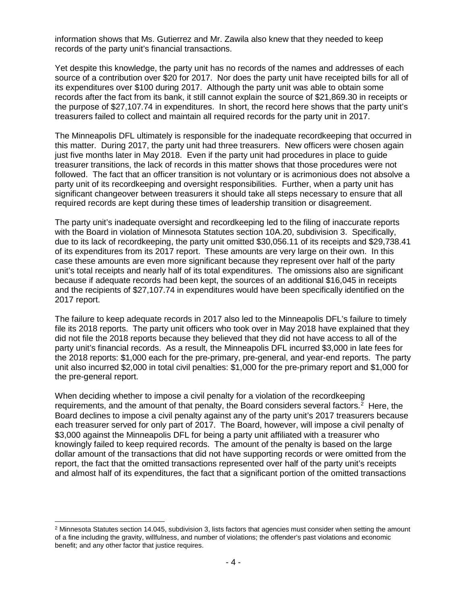information shows that Ms. Gutierrez and Mr. Zawila also knew that they needed to keep records of the party unit's financial transactions.

Yet despite this knowledge, the party unit has no records of the names and addresses of each source of a contribution over \$20 for 2017. Nor does the party unit have receipted bills for all of its expenditures over \$100 during 2017. Although the party unit was able to obtain some records after the fact from its bank, it still cannot explain the source of \$21,869.30 in receipts or the purpose of \$27,107.74 in expenditures. In short, the record here shows that the party unit's treasurers failed to collect and maintain all required records for the party unit in 2017.

The Minneapolis DFL ultimately is responsible for the inadequate recordkeeping that occurred in this matter. During 2017, the party unit had three treasurers. New officers were chosen again just five months later in May 2018. Even if the party unit had procedures in place to guide treasurer transitions, the lack of records in this matter shows that those procedures were not followed. The fact that an officer transition is not voluntary or is acrimonious does not absolve a party unit of its recordkeeping and oversight responsibilities. Further, when a party unit has significant changeover between treasurers it should take all steps necessary to ensure that all required records are kept during these times of leadership transition or disagreement.

The party unit's inadequate oversight and recordkeeping led to the filing of inaccurate reports with the Board in violation of Minnesota Statutes section 10A.20, subdivision 3. Specifically, due to its lack of recordkeeping, the party unit omitted \$30,056.11 of its receipts and \$29,738.41 of its expenditures from its 2017 report. These amounts are very large on their own. In this case these amounts are even more significant because they represent over half of the party unit's total receipts and nearly half of its total expenditures. The omissions also are significant because if adequate records had been kept, the sources of an additional \$16,045 in receipts and the recipients of \$27,107.74 in expenditures would have been specifically identified on the 2017 report.

The failure to keep adequate records in 2017 also led to the Minneapolis DFL's failure to timely file its 2018 reports. The party unit officers who took over in May 2018 have explained that they did not file the 2018 reports because they believed that they did not have access to all of the party unit's financial records. As a result, the Minneapolis DFL incurred \$3,000 in late fees for the 2018 reports: \$1,000 each for the pre-primary, pre-general, and year-end reports. The party unit also incurred \$2,000 in total civil penalties: \$1,000 for the pre-primary report and \$1,000 for the pre-general report.

When deciding whether to impose a civil penalty for a violation of the recordkeeping requirements, and the amount of that penalty, the Board considers several factors.<sup>[2](#page-3-0)</sup> Here, the Board declines to impose a civil penalty against any of the party unit's 2017 treasurers because each treasurer served for only part of 2017. The Board, however, will impose a civil penalty of \$3,000 against the Minneapolis DFL for being a party unit affiliated with a treasurer who knowingly failed to keep required records. The amount of the penalty is based on the large dollar amount of the transactions that did not have supporting records or were omitted from the report, the fact that the omitted transactions represented over half of the party unit's receipts and almost half of its expenditures, the fact that a significant portion of the omitted transactions

<span id="page-3-0"></span> $2$  Minnesota Statutes section 14.045, subdivision 3, lists factors that agencies must consider when setting the amount of a fine including the gravity, willfulness, and number of violations; the offender's past violations and economic benefit; and any other factor that justice requires.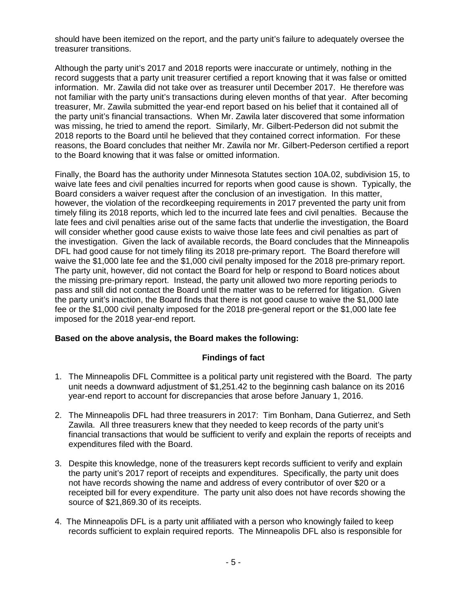should have been itemized on the report, and the party unit's failure to adequately oversee the treasurer transitions.

Although the party unit's 2017 and 2018 reports were inaccurate or untimely, nothing in the record suggests that a party unit treasurer certified a report knowing that it was false or omitted information. Mr. Zawila did not take over as treasurer until December 2017. He therefore was not familiar with the party unit's transactions during eleven months of that year. After becoming treasurer, Mr. Zawila submitted the year-end report based on his belief that it contained all of the party unit's financial transactions. When Mr. Zawila later discovered that some information was missing, he tried to amend the report. Similarly, Mr. Gilbert-Pederson did not submit the 2018 reports to the Board until he believed that they contained correct information. For these reasons, the Board concludes that neither Mr. Zawila nor Mr. Gilbert-Pederson certified a report to the Board knowing that it was false or omitted information.

Finally, the Board has the authority under Minnesota Statutes section 10A.02, subdivision 15, to waive late fees and civil penalties incurred for reports when good cause is shown. Typically, the Board considers a waiver request after the conclusion of an investigation. In this matter, however, the violation of the recordkeeping requirements in 2017 prevented the party unit from timely filing its 2018 reports, which led to the incurred late fees and civil penalties. Because the late fees and civil penalties arise out of the same facts that underlie the investigation, the Board will consider whether good cause exists to waive those late fees and civil penalties as part of the investigation. Given the lack of available records, the Board concludes that the Minneapolis DFL had good cause for not timely filing its 2018 pre-primary report. The Board therefore will waive the \$1,000 late fee and the \$1,000 civil penalty imposed for the 2018 pre-primary report. The party unit, however, did not contact the Board for help or respond to Board notices about the missing pre-primary report. Instead, the party unit allowed two more reporting periods to pass and still did not contact the Board until the matter was to be referred for litigation. Given the party unit's inaction, the Board finds that there is not good cause to waive the \$1,000 late fee or the \$1,000 civil penalty imposed for the 2018 pre-general report or the \$1,000 late fee imposed for the 2018 year-end report.

# **Based on the above analysis, the Board makes the following:**

# **Findings of fact**

- 1. The Minneapolis DFL Committee is a political party unit registered with the Board. The party unit needs a downward adjustment of \$1,251.42 to the beginning cash balance on its 2016 year-end report to account for discrepancies that arose before January 1, 2016.
- 2. The Minneapolis DFL had three treasurers in 2017: Tim Bonham, Dana Gutierrez, and Seth Zawila. All three treasurers knew that they needed to keep records of the party unit's financial transactions that would be sufficient to verify and explain the reports of receipts and expenditures filed with the Board.
- 3. Despite this knowledge, none of the treasurers kept records sufficient to verify and explain the party unit's 2017 report of receipts and expenditures. Specifically, the party unit does not have records showing the name and address of every contributor of over \$20 or a receipted bill for every expenditure. The party unit also does not have records showing the source of \$21,869.30 of its receipts.
- 4. The Minneapolis DFL is a party unit affiliated with a person who knowingly failed to keep records sufficient to explain required reports. The Minneapolis DFL also is responsible for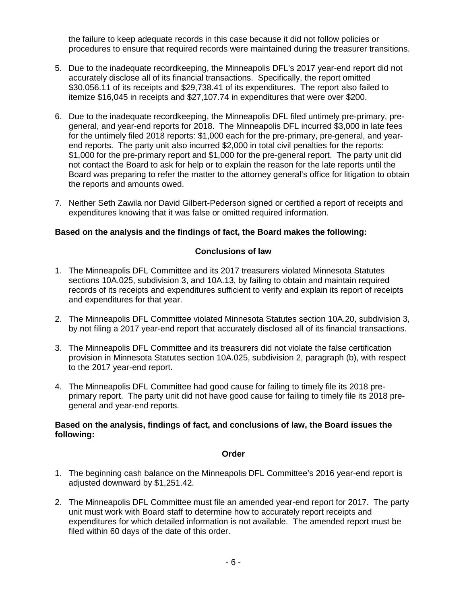the failure to keep adequate records in this case because it did not follow policies or procedures to ensure that required records were maintained during the treasurer transitions.

- 5. Due to the inadequate recordkeeping, the Minneapolis DFL's 2017 year-end report did not accurately disclose all of its financial transactions. Specifically, the report omitted \$30,056.11 of its receipts and \$29,738.41 of its expenditures. The report also failed to itemize \$16,045 in receipts and \$27,107.74 in expenditures that were over \$200.
- 6. Due to the inadequate recordkeeping, the Minneapolis DFL filed untimely pre-primary, pregeneral, and year-end reports for 2018. The Minneapolis DFL incurred \$3,000 in late fees for the untimely filed 2018 reports: \$1,000 each for the pre-primary, pre-general, and yearend reports. The party unit also incurred \$2,000 in total civil penalties for the reports: \$1,000 for the pre-primary report and \$1,000 for the pre-general report. The party unit did not contact the Board to ask for help or to explain the reason for the late reports until the Board was preparing to refer the matter to the attorney general's office for litigation to obtain the reports and amounts owed.
- 7. Neither Seth Zawila nor David Gilbert-Pederson signed or certified a report of receipts and expenditures knowing that it was false or omitted required information.

### **Based on the analysis and the findings of fact, the Board makes the following:**

### **Conclusions of law**

- 1. The Minneapolis DFL Committee and its 2017 treasurers violated Minnesota Statutes sections 10A.025, subdivision 3, and 10A.13, by failing to obtain and maintain required records of its receipts and expenditures sufficient to verify and explain its report of receipts and expenditures for that year.
- 2. The Minneapolis DFL Committee violated Minnesota Statutes section 10A.20, subdivision 3, by not filing a 2017 year-end report that accurately disclosed all of its financial transactions.
- 3. The Minneapolis DFL Committee and its treasurers did not violate the false certification provision in Minnesota Statutes section 10A.025, subdivision 2, paragraph (b), with respect to the 2017 year-end report.
- 4. The Minneapolis DFL Committee had good cause for failing to timely file its 2018 preprimary report. The party unit did not have good cause for failing to timely file its 2018 pregeneral and year-end reports.

#### **Based on the analysis, findings of fact, and conclusions of law, the Board issues the following:**

#### **Order**

- 1. The beginning cash balance on the Minneapolis DFL Committee's 2016 year-end report is adjusted downward by \$1,251.42.
- 2. The Minneapolis DFL Committee must file an amended year-end report for 2017. The party unit must work with Board staff to determine how to accurately report receipts and expenditures for which detailed information is not available. The amended report must be filed within 60 days of the date of this order.